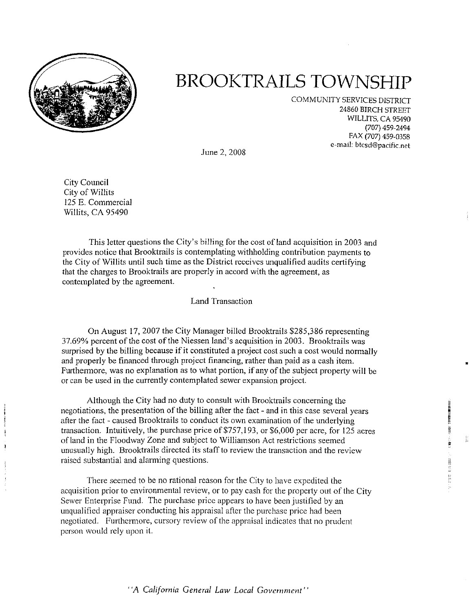

# **BROOKTRAILS TOWNSHIP**

COMMUNITY SERVICES DISTRICT 24860 BIRCH STREET WILLITS, CA 95490 (707) 459-2494 FAX (707) 459-0358 e-mail: btcsd@pacific.net

•

•

and good start-

化对称 计数据数据数据

June 2, 2008

City Council City of Willits 125 E. Commercial Willits, CA 95490

**CACCARA** VIEW  $\frac{1}{2}$ j

This letter questions the City's billing for the cost of land acquisition in 2003 and provides notice that Brooktrails is contemplating withholding contribution payments to the City of Willits until such time as the District receives unqualified audits certifying that the charges to Brooktrails are properly in accord with the agreement, as contemplated by the agreement.

# Land Transaction

On August 17, 2007 the City Manager billed Brooktrails \$285,386 representing 37.69% percent of the cost of the Niessen land's acquisition in 2003. Brooktrails was surprised by the billing because if it constituted a project cost such a cost would normally and properly be financed through project financing, rather than paid as a cash item. Furthermore, was no explanation as to what portion, if any of the subject property will be or can be used in the currently contemplated sewer expansion project.

Although the City had no duty to consult with Brooktrails concerning the negotiations, the presentation of the billing after the fact - and in this case several years after the fact - caused Brooktrails to conduct its own examination of the underlying transaction. Intuitively, the purchase price of \$757, 193, or \$6,000 per acre, for 125 acres of land in the Floodway Zone and subject to Williamson Act restrictions seemed unusually high. Brooktrails directed its staff to review the transaction and the review raised substantial and alarming questions.

There seemed to be no rational reason for the City to have expedited the acquisition prior to environmental review, or to pay cash for the property out of the City Sewer Enterprise Fund. The purchase price appears to have been justified by an unqualified appraiser conducting his appraisal after the purchase price had been negotiated. Furthermore, cursory review of the appraisal indicates that no prudent person would rely upon it.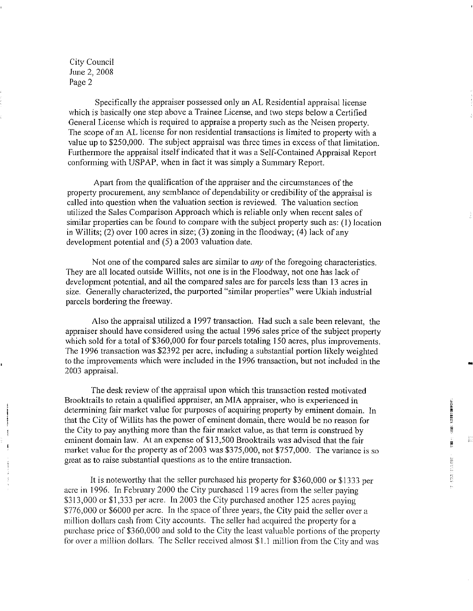Specifically the appraiser possessed only an AL Residential appraisal license which is basically one step above a Trainee License, and two steps below a Certified General License which is required to appraise a property such as the Neisen property. The scope of an AL license for non residential transactions is limited to property with a value up to \$250,000. The subject appraisal was three times in excess of that limitation Furthermore the appraisal itself indicated that it was a Self-Contained Appraisal Report conforming with USPAP, when in fact it was simply a Summary Report.

Apart from the qualification of the appraiser and the circumstances of the property procurement, any semblance of dependability or credibility of the appraisal is called into question when the valuation section is reviewed. The valuation section utilized the Sales Comparison Approach which is reliable only when recent sales of similar properties can be found to compare with the subject property such as: (I) location in Willits;  $(2)$  over 100 acres in size;  $(3)$  zoning in the floodway;  $(4)$  lack of any development potential and (5) a 2003 valuation date.

Not one of the compared sales are similar to *any* of the foregoing characteristics. They are all located outside Willits, not one is in the Floodway, not one has lack of development potential, and all the compared sales are for parcels less than 13 acres in size. Generally characterized, the purported "similar properties" were Ukiah industrial parcels bordering the freeway.

Also the appraisal utilized a 1997 transaction. Had such a sale been relevant, the appraiser should have considered using the actual 1996 sales price of the subject property which sold for a total of \$360,000 for four parcels totaling 150 acres, plus improvements. The 1996 transaction was \$2392 per acre, including a substantial portion likely weighted to the improvements which were included in the 1996 transaction, but not included in the 2003 appraisal.

The desk review of the appraisal upon which this transaction rested motivated Brooktrails to retain a qualified appraiser, an MIA appraiser, who is experienced in determining fair market value for purposes of acquiring property by eminent domain. In that the City of Willits has the power of eminent domain, there would be no reason for the City to pay anything more than the fair market value, as that term is construed by eminent domain law. At an expense of \$13,500 Brooktrails was advised that the fair market value for the property as of 2003 was \$375,000, not \$757,000. The variance is so great as to raise substantial questions as to the entire transaction.

It is noteworthy that the seller purchased his property for \$360,000 or \$1333 per acre in 1996. In February 2000 the City purchased 119 acres from the seller paying \$313,000 or \$1,333 per acre. In 2003 the City purchased another 125 acres paying \$776,000 or \$6000 per acre. In the space of three years, the City paid the seller over a million dollars cash from City accounts. The seller had acquired the property for a purchase price of \$360,000 and sold to the City the least valuable portions of the property for over a million dollars. The Seller received almost \$1.1 million from the City and was

-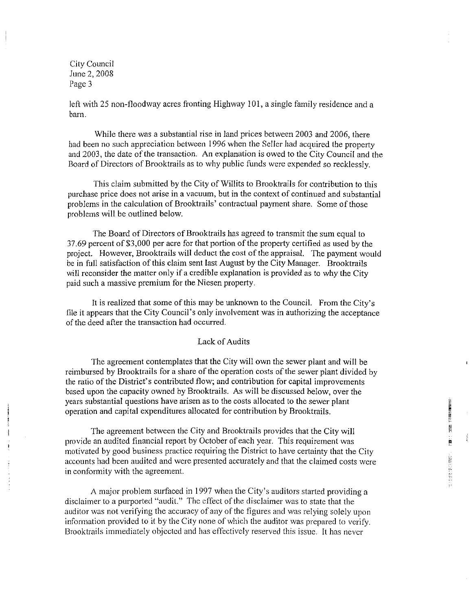left with 25 non-floodway acres fronting Highway IOI, a single family residence and a barn.

While there was a substantial rise in land prices between 2003 and 2006, there had been no such appreciation between 1996 when the Seller had acquired the property and 2003, the date of the transaction. An explanation is owed to the City Council and the Board of Directors of Brooktrails as to why public funds were expended so recklessly.

This claim submitted by the City of Willits to Brooktrails for contribution to this purchase price does not arise in a vacuum, but in the context of continued and substantial problems in the calculation of Brooktraiis' contractual payment share. Some of those problems will be outlined below.

The Board of Directors of Brooktrails has agreed to transmit the sum equal to 37.69 percent of \$3,000 per acre for that portion of the property certified as used by the project. However, Brooktrails will deduct the cost of the appraisal. The payment would be in full satisfaction of this claim sent last August by the City Manager. Brooktrails will reconsider the matter only if a credible explanation is provided as to why the City paid such a massive premium for the Niesen property.

It is realized that some of this may be unknown to the Council. From the City's file it appears that the City Council's only involvement was in authorizing the acceptance of the deed after the transaction had occurred.

### Lack of Audits

The agreement contemplates that the City will own the sewer plant and will be reimbursed by Brooktrails for a share of the operation costs of the sewer plant divided by the ratio of the District's contributed flow; and contribution for capital improvements based upon the capacity owned by Brooktraiis. As will be discussed below, over the years substantial questions have arisen as to the costs allocated to the sewer plant operation and capital expenditures allocated for contribution by Brooktrails.

The agreement between the City and Brooktrails provides that the City will provide an audited financial report by October of each year. This requirement was motivated by good business practice requiring the District to have certainty that the City accounts had been audited and were presented accurately and that the claimed costs were in conformity with the agreement.

A major problem surfaced in 1997 when the City's auditors started providing a disclaimer to a purported "audit." The effect of the disclaimer was to state that the auditor was not verifying the accuracy of any of the figures and was relying solely upon information provided to it by the City none of which the auditor was prepared to verify. Brooktrails immediately objected and has effectively reserved this issue. It has never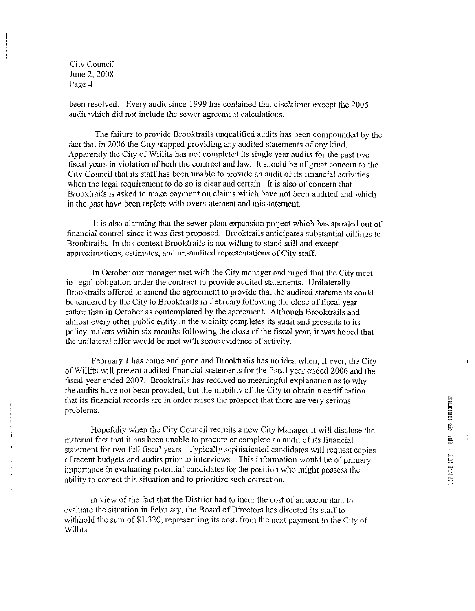been resolved. Every audit since 1999 has contained that disclaimer except the 2005 audit which did not include the sewer agreement calculations.

The failure to provide Brooktrails unqualified audits has been compounded by the fact that in 2006 the City stopped providing any audited statements of any kind. Apparently the City of Willits has not completed its single year audits for the past two fiscal years in violation of both the contract and law. It should be of great concern to the City Council that its staff has been unable to provide an audit of its financial activities when the legal requirement to do so is clear and certain. It is also of concern that Brooktrails is asked to make payment on claims which have not been audited and which in the past have been replete with overstatement and misstatement.

It is also alarming that the sewer plant expansion project which has spiraled out of financial control since it was first proposed. Brooktrails anticipates substantial billings to Brooktrails. Jn this context Brooktrails is not willing to stand still and except approximations, estimates, and un-audited representations of City staff.

In October our manager met with the City manager and urged that the City meet its legal obligation under the contract to provide audited statements. Unilaterally Brooktrails offered to amend the agreement to provide that the audited statements could be tendered by the City to Brooktrails in February following the close of fiscal year rather than in October as contemplated by the agreement. Although Brooktrails and almost every other public entity in the vicinity completes its audit and presents to its policy makers within six months following the close of the fiscal year, it was hoped that the unilateral offer would be met with some evidence of activity.

February I has come and gone and Brooktrails has no idea when, if ever, the City of Willits will present audited financial statements for the fiscal year ended 2006 and the fiscal year ended 2007. Brooktrails has received no meaningful explanation as to why the audits have not been provided, but the inability of the City to obtain a certification that its financial records are in order raises the prospect that there are very serious problems.

Hopefully when the City Council recruits a new City Manager *it* will disclose the material fact that it has been unable to procure or complete an audit of its financial statement for two full fiscal years. Typically sophisticated candidates will request copies of recent budgets and audits prior to interviews. This information would be of primary importance in evaluating potential candidates for the position who might possess the ability to correct this situation and to prioritize such correction.

In view of the fact that the District had to incur the cost of an accountant to evaluate the situation in February, the Board of Directors has directed its staff to withhold the sum of \$1,320, representing its cost, from the next payment to the City of Willits.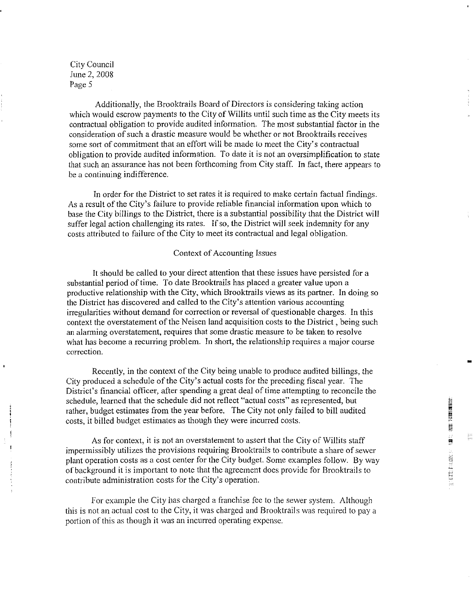Additionally, the Brooktrails Board of Directors is considering taking action which would escrow payments to the City of Willits until such time as the City meets its contractual obligation to provide audited information. The most substantial factor in the consideration of such a drastic measure would be whether or not Brooktrails receives some sort of commitment that an effort will be made to meet the City's contractual obligation to provide audited information. To date it is not an oversimplification to state that such an assurance has not been forthcoming from City staff. In fact, there appears to be a continuing indifference.

In order for the District to set rates it is required to make certain factual findings. As a result of the City's failure to provide reliable financial information upon which to base the City billings to the District, there is a substantial possibility that the District will suffer legal action challenging its rates. If so, the District will seek indemnity for any costs attributed to failure of the City to meet its contractual and legal obligation.

#### Context of Accounting Issues

It should be called to your direct attention that these issues have persisted for a substantial period of time. To date Brooktrails has placed a greater value upon a productive relationship with the City, which Brooktrails views as its partner. In doing so the District has discovered and called to the City's attention various accounting irregularities without demand for correction or reversal of questionable charges. In this context the overstatement of the Neisen land acquisition costs to the District, being such an alarming overstatement, requires that some drastic measure to be taken to resolve what has become a recurring problem. In short, the relationship requires a major course **correction.** 

Recently, in the context of the City being unable to produce audited billings, the City produced a schedule of the City's actual costs for the preceding fiscal year. The District's financial officer, after spending a great deal of time attempting to reconcile the schedule, learned that the schedule did not reflect "actual costs" as represented, but rather, budget estimates from the year before. The City not only failed to bill audited costs, it billed budget estimates as though they were incurred costs.

As for context, it is not an overstatement to assert that the City of Willits staff impermissibly utilizes the provisions requiring Brooktrails to contribute a share of sewer plant operation costs as a cost center for the City budget. Some examples follow. By way of background it is important to note that the agreement does provide for Brooktrails to contribute administration costs for the City's operation.

For example the City has charged a franchise fee to the sewer system. Although this is not an actual cost to the City, it was charged and Brooktrails was required to pay a portion of this as though it was an incurred operating expense.

-